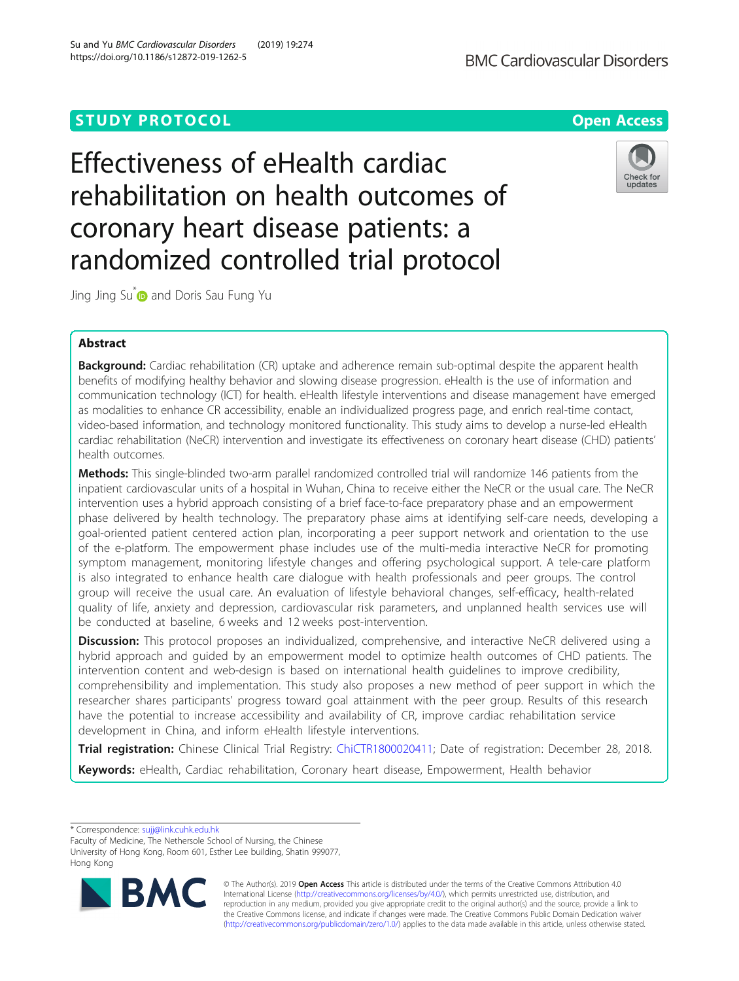# **STUDY PROTOCOL CONSUMING THE RESERVE ACCESS**

Effectiveness of eHealth cardiac rehabilitation on health outcomes of coronary heart disease patients: a randomized controlled trial protocol

Jing Jing Su<sup>[\\*](http://orcid.org/0000-0002-8242-811X)</sup> and Doris Sau Fung Yu

## Abstract

Background: Cardiac rehabilitation (CR) uptake and adherence remain sub-optimal despite the apparent health benefits of modifying healthy behavior and slowing disease progression. eHealth is the use of information and communication technology (ICT) for health. eHealth lifestyle interventions and disease management have emerged as modalities to enhance CR accessibility, enable an individualized progress page, and enrich real-time contact, video-based information, and technology monitored functionality. This study aims to develop a nurse-led eHealth cardiac rehabilitation (NeCR) intervention and investigate its effectiveness on coronary heart disease (CHD) patients' health outcomes.

Methods: This single-blinded two-arm parallel randomized controlled trial will randomize 146 patients from the inpatient cardiovascular units of a hospital in Wuhan, China to receive either the NeCR or the usual care. The NeCR intervention uses a hybrid approach consisting of a brief face-to-face preparatory phase and an empowerment phase delivered by health technology. The preparatory phase aims at identifying self-care needs, developing a goal-oriented patient centered action plan, incorporating a peer support network and orientation to the use of the e-platform. The empowerment phase includes use of the multi-media interactive NeCR for promoting symptom management, monitoring lifestyle changes and offering psychological support. A tele-care platform is also integrated to enhance health care dialogue with health professionals and peer groups. The control group will receive the usual care. An evaluation of lifestyle behavioral changes, self-efficacy, health-related quality of life, anxiety and depression, cardiovascular risk parameters, and unplanned health services use will be conducted at baseline, 6 weeks and 12 weeks post-intervention.

Discussion: This protocol proposes an individualized, comprehensive, and interactive NeCR delivered using a hybrid approach and guided by an empowerment model to optimize health outcomes of CHD patients. The intervention content and web-design is based on international health guidelines to improve credibility, comprehensibility and implementation. This study also proposes a new method of peer support in which the researcher shares participants' progress toward goal attainment with the peer group. Results of this research have the potential to increase accessibility and availability of CR, improve cardiac rehabilitation service development in China, and inform eHealth lifestyle interventions.

Trial registration: Chinese Clinical Trial Registry: [ChiCTR1800020411](http://www.chictr.org.cn/showproj.aspx?proj=33906); Date of registration: December 28, 2018.

Keywords: eHealth, Cardiac rehabilitation, Coronary heart disease, Empowerment, Health behavior

\* Correspondence: [sujj@link.cuhk.edu.hk](mailto:sujj@link.cuhk.edu.hk)

Faculty of Medicine, The Nethersole School of Nursing, the Chinese University of Hong Kong, Room 601, Esther Lee building, Shatin 999077, Hong Kong



© The Author(s). 2019 Open Access This article is distributed under the terms of the Creative Commons Attribution 4.0 International License [\(http://creativecommons.org/licenses/by/4.0/](http://creativecommons.org/licenses/by/4.0/)), which permits unrestricted use, distribution, and reproduction in any medium, provided you give appropriate credit to the original author(s) and the source, provide a link to the Creative Commons license, and indicate if changes were made. The Creative Commons Public Domain Dedication waiver [\(http://creativecommons.org/publicdomain/zero/1.0/](http://creativecommons.org/publicdomain/zero/1.0/)) applies to the data made available in this article, unless otherwise stated.

**BMC Cardiovascular Disorders** 

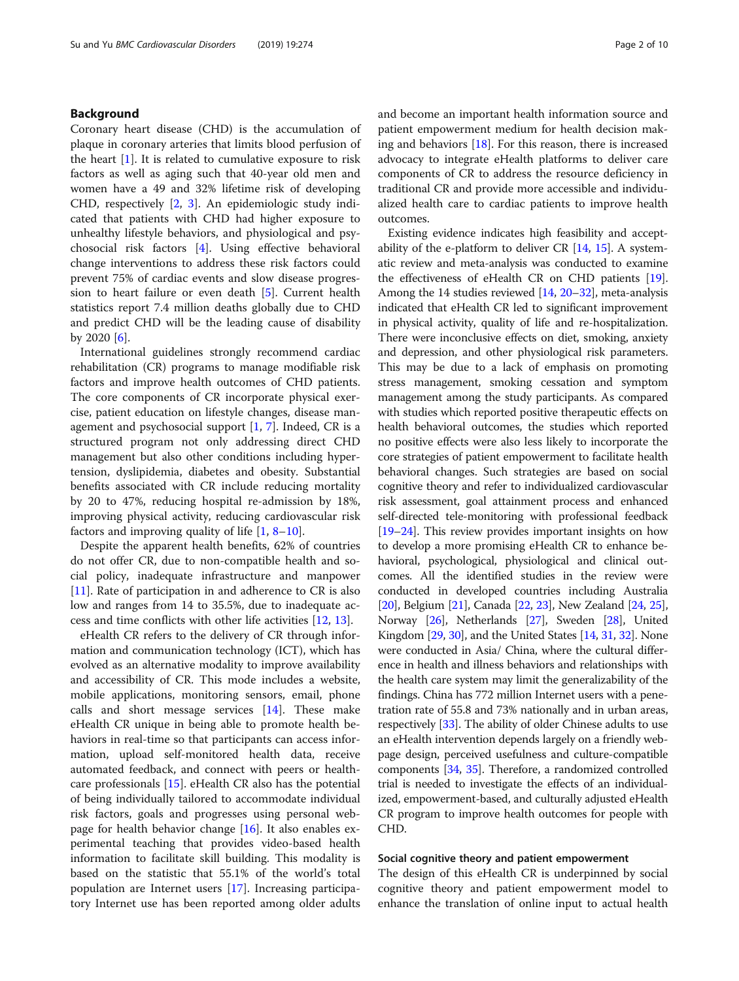### **Background**

Coronary heart disease (CHD) is the accumulation of plaque in coronary arteries that limits blood perfusion of the heart  $[1]$  $[1]$ . It is related to cumulative exposure to risk factors as well as aging such that 40-year old men and women have a 49 and 32% lifetime risk of developing CHD, respectively [[2,](#page-8-0) [3](#page-8-0)]. An epidemiologic study indicated that patients with CHD had higher exposure to unhealthy lifestyle behaviors, and physiological and psychosocial risk factors [\[4](#page-8-0)]. Using effective behavioral change interventions to address these risk factors could prevent 75% of cardiac events and slow disease progression to heart failure or even death [[5\]](#page-8-0). Current health statistics report 7.4 million deaths globally due to CHD and predict CHD will be the leading cause of disability by 2020 [[6\]](#page-8-0).

International guidelines strongly recommend cardiac rehabilitation (CR) programs to manage modifiable risk factors and improve health outcomes of CHD patients. The core components of CR incorporate physical exercise, patient education on lifestyle changes, disease management and psychosocial support [\[1](#page-8-0), [7](#page-8-0)]. Indeed, CR is a structured program not only addressing direct CHD management but also other conditions including hypertension, dyslipidemia, diabetes and obesity. Substantial benefits associated with CR include reducing mortality by 20 to 47%, reducing hospital re-admission by 18%, improving physical activity, reducing cardiovascular risk factors and improving quality of life  $[1, 8-10]$  $[1, 8-10]$  $[1, 8-10]$  $[1, 8-10]$  $[1, 8-10]$  $[1, 8-10]$  $[1, 8-10]$ .

Despite the apparent health benefits, 62% of countries do not offer CR, due to non-compatible health and social policy, inadequate infrastructure and manpower [[11\]](#page-8-0). Rate of participation in and adherence to  $CR$  is also low and ranges from 14 to 35.5%, due to inadequate access and time conflicts with other life activities [[12,](#page-8-0) [13](#page-8-0)].

eHealth CR refers to the delivery of CR through information and communication technology (ICT), which has evolved as an alternative modality to improve availability and accessibility of CR. This mode includes a website, mobile applications, monitoring sensors, email, phone calls and short message services [[14\]](#page-8-0). These make eHealth CR unique in being able to promote health behaviors in real-time so that participants can access information, upload self-monitored health data, receive automated feedback, and connect with peers or healthcare professionals [\[15](#page-8-0)]. eHealth CR also has the potential of being individually tailored to accommodate individual risk factors, goals and progresses using personal webpage for health behavior change [\[16](#page-8-0)]. It also enables experimental teaching that provides video-based health information to facilitate skill building. This modality is based on the statistic that 55.1% of the world's total population are Internet users [\[17](#page-8-0)]. Increasing participatory Internet use has been reported among older adults and become an important health information source and patient empowerment medium for health decision making and behaviors [\[18\]](#page-8-0). For this reason, there is increased advocacy to integrate eHealth platforms to deliver care components of CR to address the resource deficiency in traditional CR and provide more accessible and individualized health care to cardiac patients to improve health outcomes.

Existing evidence indicates high feasibility and acceptability of the e-platform to deliver CR [[14](#page-8-0), [15](#page-8-0)]. A systematic review and meta-analysis was conducted to examine the effectiveness of eHealth CR on CHD patients [[19](#page-8-0)]. Among the 14 studies reviewed [\[14,](#page-8-0) [20](#page-8-0)–[32\]](#page-8-0), meta-analysis indicated that eHealth CR led to significant improvement in physical activity, quality of life and re-hospitalization. There were inconclusive effects on diet, smoking, anxiety and depression, and other physiological risk parameters. This may be due to a lack of emphasis on promoting stress management, smoking cessation and symptom management among the study participants. As compared with studies which reported positive therapeutic effects on health behavioral outcomes, the studies which reported no positive effects were also less likely to incorporate the core strategies of patient empowerment to facilitate health behavioral changes. Such strategies are based on social cognitive theory and refer to individualized cardiovascular risk assessment, goal attainment process and enhanced self-directed tele-monitoring with professional feedback [[19](#page-8-0)–[24\]](#page-8-0). This review provides important insights on how to develop a more promising eHealth CR to enhance behavioral, psychological, physiological and clinical outcomes. All the identified studies in the review were conducted in developed countries including Australia [[20](#page-8-0)], Belgium [\[21\]](#page-8-0), Canada [[22](#page-8-0), [23](#page-8-0)], New Zealand [\[24,](#page-8-0) [25](#page-8-0)], Norway [\[26\]](#page-8-0), Netherlands [[27](#page-8-0)], Sweden [\[28](#page-8-0)], United Kingdom [\[29](#page-8-0), [30](#page-8-0)], and the United States [[14](#page-8-0), [31](#page-8-0), [32\]](#page-8-0). None were conducted in Asia/ China, where the cultural difference in health and illness behaviors and relationships with the health care system may limit the generalizability of the findings. China has 772 million Internet users with a penetration rate of 55.8 and 73% nationally and in urban areas, respectively [[33](#page-8-0)]. The ability of older Chinese adults to use an eHealth intervention depends largely on a friendly webpage design, perceived usefulness and culture-compatible components [[34](#page-8-0), [35](#page-8-0)]. Therefore, a randomized controlled trial is needed to investigate the effects of an individualized, empowerment-based, and culturally adjusted eHealth CR program to improve health outcomes for people with CHD.

### Social cognitive theory and patient empowerment

The design of this eHealth CR is underpinned by social cognitive theory and patient empowerment model to enhance the translation of online input to actual health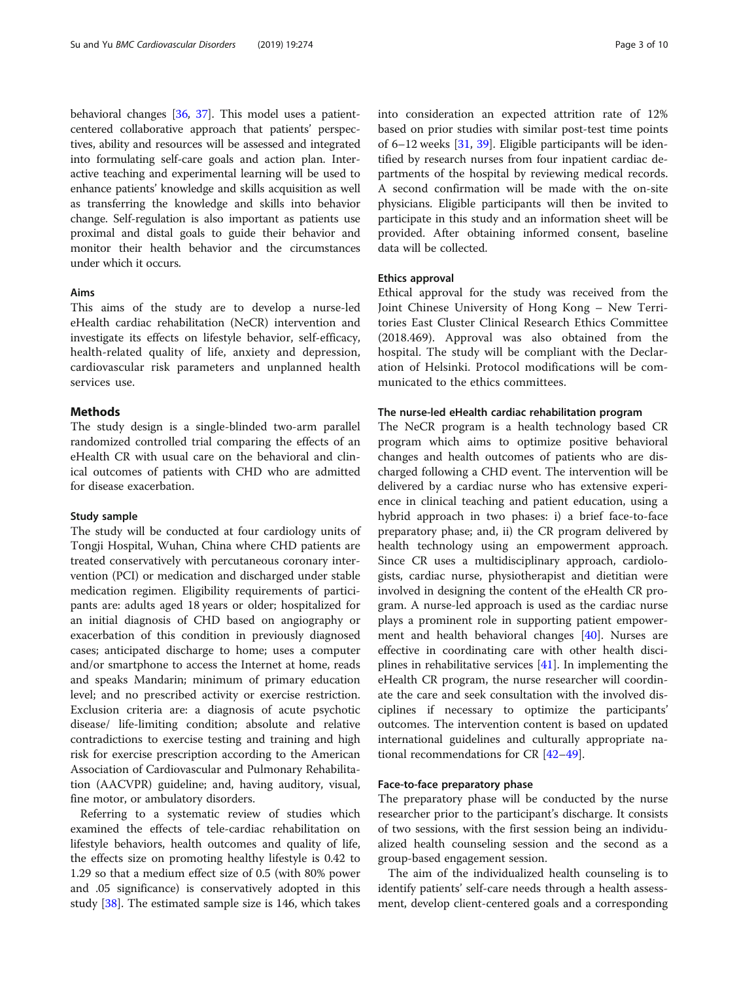behavioral changes [[36](#page-8-0), [37\]](#page-8-0). This model uses a patientcentered collaborative approach that patients' perspectives, ability and resources will be assessed and integrated into formulating self-care goals and action plan. Interactive teaching and experimental learning will be used to enhance patients' knowledge and skills acquisition as well as transferring the knowledge and skills into behavior change. Self-regulation is also important as patients use proximal and distal goals to guide their behavior and monitor their health behavior and the circumstances under which it occurs.

#### Aims

This aims of the study are to develop a nurse-led eHealth cardiac rehabilitation (NeCR) intervention and investigate its effects on lifestyle behavior, self-efficacy, health-related quality of life, anxiety and depression, cardiovascular risk parameters and unplanned health services use.

### Methods

The study design is a single-blinded two-arm parallel randomized controlled trial comparing the effects of an eHealth CR with usual care on the behavioral and clinical outcomes of patients with CHD who are admitted for disease exacerbation.

#### Study sample

The study will be conducted at four cardiology units of Tongji Hospital, Wuhan, China where CHD patients are treated conservatively with percutaneous coronary intervention (PCI) or medication and discharged under stable medication regimen. Eligibility requirements of participants are: adults aged 18 years or older; hospitalized for an initial diagnosis of CHD based on angiography or exacerbation of this condition in previously diagnosed cases; anticipated discharge to home; uses a computer and/or smartphone to access the Internet at home, reads and speaks Mandarin; minimum of primary education level; and no prescribed activity or exercise restriction. Exclusion criteria are: a diagnosis of acute psychotic disease/ life-limiting condition; absolute and relative contradictions to exercise testing and training and high risk for exercise prescription according to the American Association of Cardiovascular and Pulmonary Rehabilitation (AACVPR) guideline; and, having auditory, visual, fine motor, or ambulatory disorders.

Referring to a systematic review of studies which examined the effects of tele-cardiac rehabilitation on lifestyle behaviors, health outcomes and quality of life, the effects size on promoting healthy lifestyle is 0.42 to 1.29 so that a medium effect size of 0.5 (with 80% power and .05 significance) is conservatively adopted in this study [[38\]](#page-8-0). The estimated sample size is 146, which takes into consideration an expected attrition rate of 12% based on prior studies with similar post-test time points of 6–12 weeks [\[31,](#page-8-0) [39](#page-8-0)]. Eligible participants will be identified by research nurses from four inpatient cardiac departments of the hospital by reviewing medical records. A second confirmation will be made with the on-site physicians. Eligible participants will then be invited to participate in this study and an information sheet will be provided. After obtaining informed consent, baseline data will be collected.

### Ethics approval

Ethical approval for the study was received from the Joint Chinese University of Hong Kong – New Territories East Cluster Clinical Research Ethics Committee (2018.469). Approval was also obtained from the hospital. The study will be compliant with the Declaration of Helsinki. Protocol modifications will be communicated to the ethics committees.

### The nurse-led eHealth cardiac rehabilitation program

The NeCR program is a health technology based CR program which aims to optimize positive behavioral changes and health outcomes of patients who are discharged following a CHD event. The intervention will be delivered by a cardiac nurse who has extensive experience in clinical teaching and patient education, using a hybrid approach in two phases: i) a brief face-to-face preparatory phase; and, ii) the CR program delivered by health technology using an empowerment approach. Since CR uses a multidisciplinary approach, cardiologists, cardiac nurse, physiotherapist and dietitian were involved in designing the content of the eHealth CR program. A nurse-led approach is used as the cardiac nurse plays a prominent role in supporting patient empowerment and health behavioral changes [\[40](#page-8-0)]. Nurses are effective in coordinating care with other health disciplines in rehabilitative services [\[41\]](#page-9-0). In implementing the eHealth CR program, the nurse researcher will coordinate the care and seek consultation with the involved disciplines if necessary to optimize the participants' outcomes. The intervention content is based on updated international guidelines and culturally appropriate national recommendations for CR [[42](#page-9-0)–[49](#page-9-0)].

### Face-to-face preparatory phase

The preparatory phase will be conducted by the nurse researcher prior to the participant's discharge. It consists of two sessions, with the first session being an individualized health counseling session and the second as a group-based engagement session.

The aim of the individualized health counseling is to identify patients' self-care needs through a health assessment, develop client-centered goals and a corresponding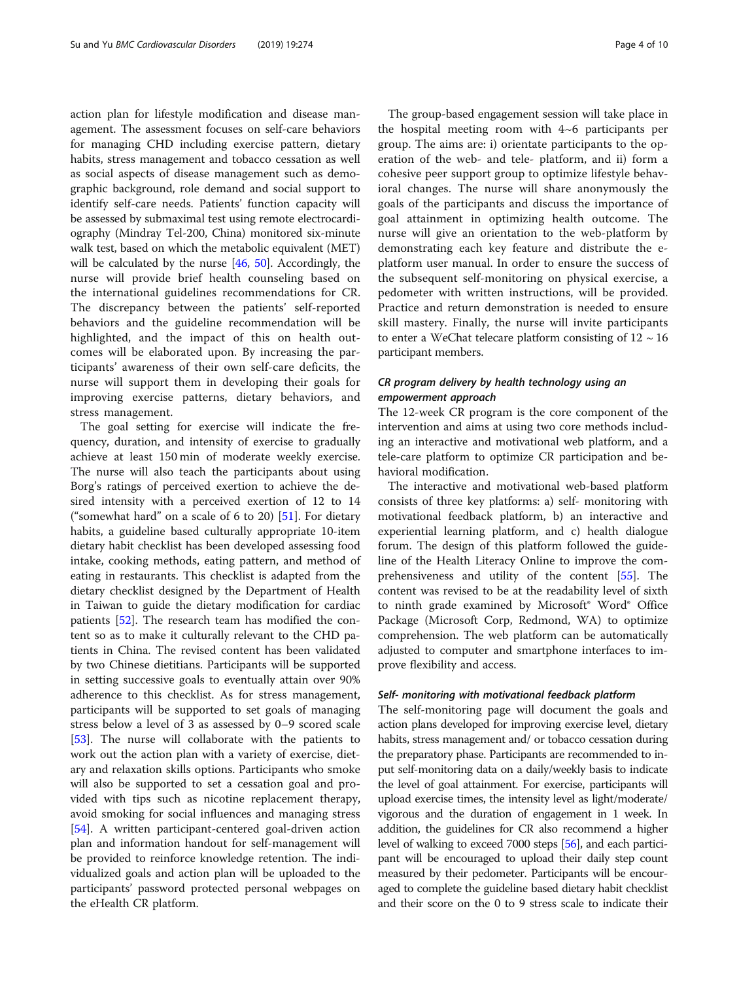action plan for lifestyle modification and disease management. The assessment focuses on self-care behaviors for managing CHD including exercise pattern, dietary habits, stress management and tobacco cessation as well as social aspects of disease management such as demographic background, role demand and social support to identify self-care needs. Patients' function capacity will be assessed by submaximal test using remote electrocardiography (Mindray Tel-200, China) monitored six-minute walk test, based on which the metabolic equivalent (MET) will be calculated by the nurse [[46](#page-9-0), [50\]](#page-9-0). Accordingly, the nurse will provide brief health counseling based on the international guidelines recommendations for CR. The discrepancy between the patients' self-reported behaviors and the guideline recommendation will be highlighted, and the impact of this on health outcomes will be elaborated upon. By increasing the participants' awareness of their own self-care deficits, the nurse will support them in developing their goals for improving exercise patterns, dietary behaviors, and stress management.

The goal setting for exercise will indicate the frequency, duration, and intensity of exercise to gradually achieve at least 150 min of moderate weekly exercise. The nurse will also teach the participants about using Borg's ratings of perceived exertion to achieve the desired intensity with a perceived exertion of 12 to 14 ("somewhat hard" on a scale of 6 to 20)  $[51]$  $[51]$ . For dietary habits, a guideline based culturally appropriate 10-item dietary habit checklist has been developed assessing food intake, cooking methods, eating pattern, and method of eating in restaurants. This checklist is adapted from the dietary checklist designed by the Department of Health in Taiwan to guide the dietary modification for cardiac patients [[52\]](#page-9-0). The research team has modified the content so as to make it culturally relevant to the CHD patients in China. The revised content has been validated by two Chinese dietitians. Participants will be supported in setting successive goals to eventually attain over 90% adherence to this checklist. As for stress management, participants will be supported to set goals of managing stress below a level of 3 as assessed by 0–9 scored scale [[53\]](#page-9-0). The nurse will collaborate with the patients to work out the action plan with a variety of exercise, dietary and relaxation skills options. Participants who smoke will also be supported to set a cessation goal and provided with tips such as nicotine replacement therapy, avoid smoking for social influences and managing stress [[54\]](#page-9-0). A written participant-centered goal-driven action plan and information handout for self-management will be provided to reinforce knowledge retention. The individualized goals and action plan will be uploaded to the participants' password protected personal webpages on the eHealth CR platform.

The group-based engagement session will take place in the hospital meeting room with 4~6 participants per group. The aims are: i) orientate participants to the operation of the web- and tele- platform, and ii) form a cohesive peer support group to optimize lifestyle behavioral changes. The nurse will share anonymously the goals of the participants and discuss the importance of goal attainment in optimizing health outcome. The nurse will give an orientation to the web-platform by demonstrating each key feature and distribute the eplatform user manual. In order to ensure the success of the subsequent self-monitoring on physical exercise, a pedometer with written instructions, will be provided. Practice and return demonstration is needed to ensure skill mastery. Finally, the nurse will invite participants to enter a WeChat telecare platform consisting of  $12 \sim 16$ participant members.

### CR program delivery by health technology using an empowerment approach

The 12-week CR program is the core component of the intervention and aims at using two core methods including an interactive and motivational web platform, and a tele-care platform to optimize CR participation and behavioral modification.

The interactive and motivational web-based platform consists of three key platforms: a) self- monitoring with motivational feedback platform, b) an interactive and experiential learning platform, and c) health dialogue forum. The design of this platform followed the guideline of the Health Literacy Online to improve the comprehensiveness and utility of the content [\[55](#page-9-0)]. The content was revised to be at the readability level of sixth to ninth grade examined by Microsoft® Word® Office Package (Microsoft Corp, Redmond, WA) to optimize comprehension. The web platform can be automatically adjusted to computer and smartphone interfaces to improve flexibility and access.

#### Self- monitoring with motivational feedback platform

The self-monitoring page will document the goals and action plans developed for improving exercise level, dietary habits, stress management and/ or tobacco cessation during the preparatory phase. Participants are recommended to input self-monitoring data on a daily/weekly basis to indicate the level of goal attainment. For exercise, participants will upload exercise times, the intensity level as light/moderate/ vigorous and the duration of engagement in 1 week. In addition, the guidelines for CR also recommend a higher level of walking to exceed 7000 steps [\[56\]](#page-9-0), and each participant will be encouraged to upload their daily step count measured by their pedometer. Participants will be encouraged to complete the guideline based dietary habit checklist and their score on the 0 to 9 stress scale to indicate their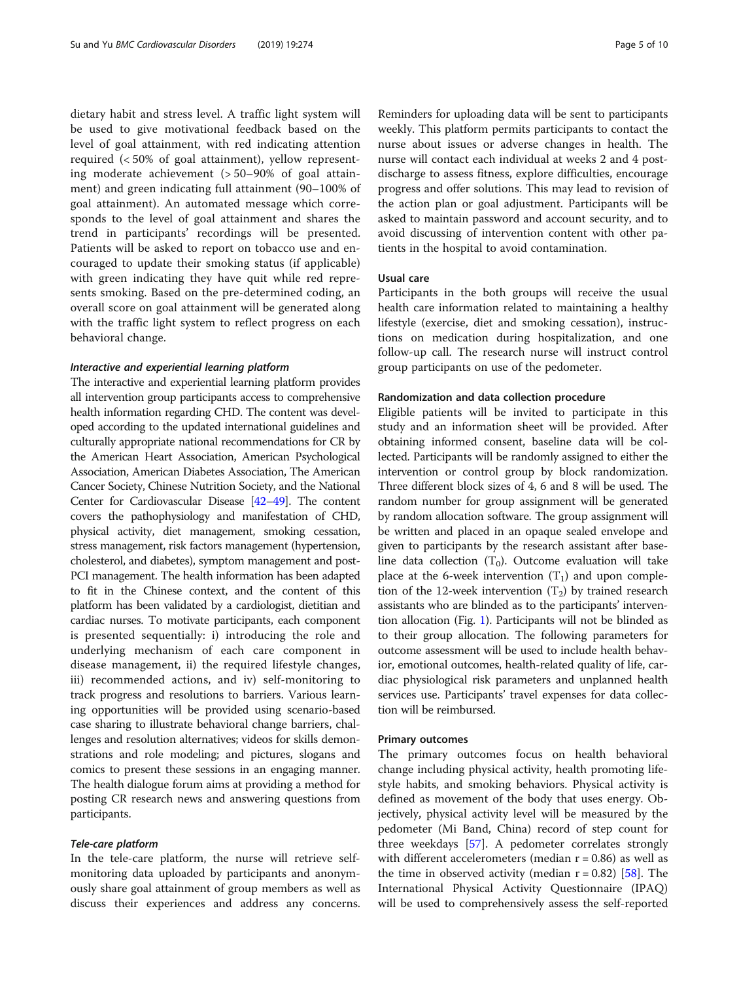dietary habit and stress level. A traffic light system will be used to give motivational feedback based on the level of goal attainment, with red indicating attention required (< 50% of goal attainment), yellow representing moderate achievement (> 50–90% of goal attainment) and green indicating full attainment (90–100% of goal attainment). An automated message which corresponds to the level of goal attainment and shares the trend in participants' recordings will be presented. Patients will be asked to report on tobacco use and encouraged to update their smoking status (if applicable) with green indicating they have quit while red represents smoking. Based on the pre-determined coding, an overall score on goal attainment will be generated along with the traffic light system to reflect progress on each behavioral change.

#### Interactive and experiential learning platform

The interactive and experiential learning platform provides all intervention group participants access to comprehensive health information regarding CHD. The content was developed according to the updated international guidelines and culturally appropriate national recommendations for CR by the American Heart Association, American Psychological Association, American Diabetes Association, The American Cancer Society, Chinese Nutrition Society, and the National Center for Cardiovascular Disease [\[42](#page-9-0)–[49\]](#page-9-0). The content covers the pathophysiology and manifestation of CHD, physical activity, diet management, smoking cessation, stress management, risk factors management (hypertension, cholesterol, and diabetes), symptom management and post-PCI management. The health information has been adapted to fit in the Chinese context, and the content of this platform has been validated by a cardiologist, dietitian and cardiac nurses. To motivate participants, each component is presented sequentially: i) introducing the role and underlying mechanism of each care component in disease management, ii) the required lifestyle changes, iii) recommended actions, and iv) self-monitoring to track progress and resolutions to barriers. Various learning opportunities will be provided using scenario-based case sharing to illustrate behavioral change barriers, challenges and resolution alternatives; videos for skills demonstrations and role modeling; and pictures, slogans and comics to present these sessions in an engaging manner. The health dialogue forum aims at providing a method for posting CR research news and answering questions from participants.

### Tele-care platform

In the tele-care platform, the nurse will retrieve selfmonitoring data uploaded by participants and anonymously share goal attainment of group members as well as discuss their experiences and address any concerns.

Reminders for uploading data will be sent to participants weekly. This platform permits participants to contact the nurse about issues or adverse changes in health. The nurse will contact each individual at weeks 2 and 4 postdischarge to assess fitness, explore difficulties, encourage progress and offer solutions. This may lead to revision of the action plan or goal adjustment. Participants will be asked to maintain password and account security, and to avoid discussing of intervention content with other patients in the hospital to avoid contamination.

### Usual care

Participants in the both groups will receive the usual health care information related to maintaining a healthy lifestyle (exercise, diet and smoking cessation), instructions on medication during hospitalization, and one follow-up call. The research nurse will instruct control group participants on use of the pedometer.

#### Randomization and data collection procedure

Eligible patients will be invited to participate in this study and an information sheet will be provided. After obtaining informed consent, baseline data will be collected. Participants will be randomly assigned to either the intervention or control group by block randomization. Three different block sizes of 4, 6 and 8 will be used. The random number for group assignment will be generated by random allocation software. The group assignment will be written and placed in an opaque sealed envelope and given to participants by the research assistant after baseline data collection  $(T_0)$ . Outcome evaluation will take place at the 6-week intervention  $(T_1)$  and upon completion of the 12-week intervention  $(T_2)$  by trained research assistants who are blinded as to the participants' intervention allocation (Fig. [1](#page-5-0)). Participants will not be blinded as to their group allocation. The following parameters for outcome assessment will be used to include health behavior, emotional outcomes, health-related quality of life, cardiac physiological risk parameters and unplanned health services use. Participants' travel expenses for data collection will be reimbursed.

### Primary outcomes

The primary outcomes focus on health behavioral change including physical activity, health promoting lifestyle habits, and smoking behaviors. Physical activity is defined as movement of the body that uses energy. Objectively, physical activity level will be measured by the pedometer (Mi Band, China) record of step count for three weekdays [\[57](#page-9-0)]. A pedometer correlates strongly with different accelerometers (median  $r = 0.86$ ) as well as the time in observed activity (median  $r = 0.82$ ) [[58](#page-9-0)]. The International Physical Activity Questionnaire (IPAQ) will be used to comprehensively assess the self-reported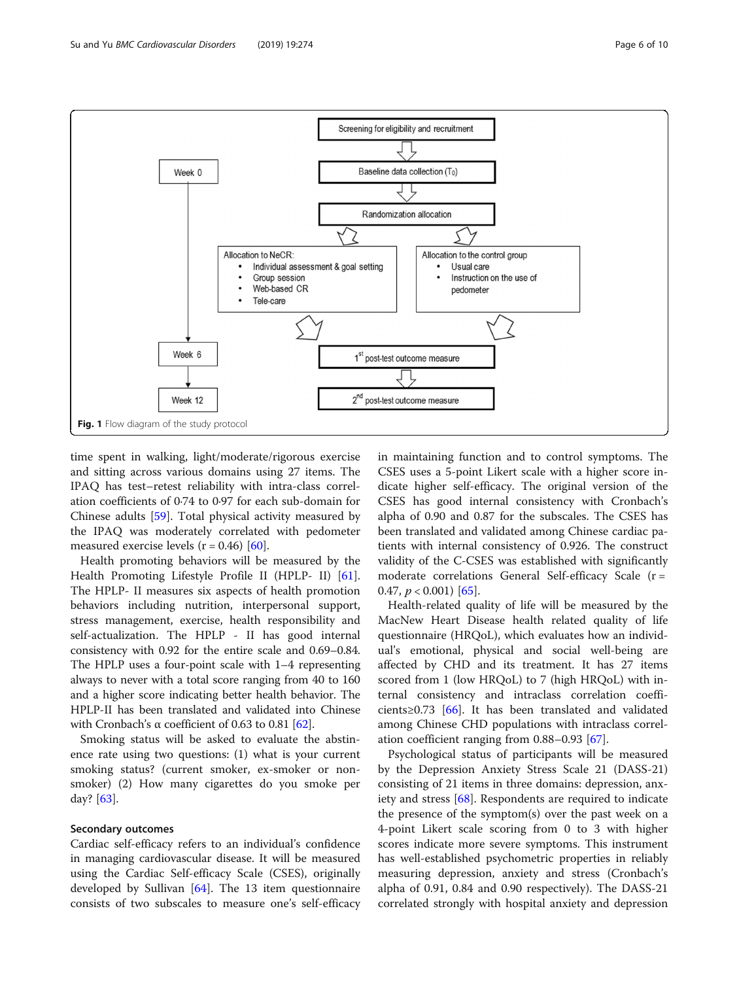<span id="page-5-0"></span>

time spent in walking, light/moderate/rigorous exercise and sitting across various domains using 27 items. The IPAQ has test–retest reliability with intra-class correlation coefficients of 0·74 to 0·97 for each sub-domain for Chinese adults [\[59](#page-9-0)]. Total physical activity measured by the IPAQ was moderately correlated with pedometer measured exercise levels  $(r = 0.46)$  [\[60\]](#page-9-0).

Health promoting behaviors will be measured by the Health Promoting Lifestyle Profile II (HPLP- II) [\[61](#page-9-0)]. The HPLP- II measures six aspects of health promotion behaviors including nutrition, interpersonal support, stress management, exercise, health responsibility and self-actualization. The HPLP - II has good internal consistency with 0.92 for the entire scale and 0.69–0.84. The HPLP uses a four-point scale with 1–4 representing always to never with a total score ranging from 40 to 160 and a higher score indicating better health behavior. The HPLP-II has been translated and validated into Chinese with Cronbach's α coefficient of 0.63 to 0.81 [[62](#page-9-0)].

Smoking status will be asked to evaluate the abstinence rate using two questions: (1) what is your current smoking status? (current smoker, ex-smoker or nonsmoker) (2) How many cigarettes do you smoke per day? [[63](#page-9-0)].

### Secondary outcomes

Cardiac self-efficacy refers to an individual's confidence in managing cardiovascular disease. It will be measured using the Cardiac Self-efficacy Scale (CSES), originally developed by Sullivan  $[64]$  $[64]$ . The 13 item questionnaire consists of two subscales to measure one's self-efficacy

in maintaining function and to control symptoms. The CSES uses a 5-point Likert scale with a higher score indicate higher self-efficacy. The original version of the CSES has good internal consistency with Cronbach's alpha of 0.90 and 0.87 for the subscales. The CSES has been translated and validated among Chinese cardiac patients with internal consistency of 0.926. The construct validity of the C-CSES was established with significantly moderate correlations General Self-efficacy Scale (r = 0.47,  $p < 0.001$  [\[65\]](#page-9-0).

Health-related quality of life will be measured by the MacNew Heart Disease health related quality of life questionnaire (HRQoL), which evaluates how an individual's emotional, physical and social well-being are affected by CHD and its treatment. It has 27 items scored from 1 (low HROoL) to 7 (high HROoL) with internal consistency and intraclass correlation coefficients≥0.73 [\[66](#page-9-0)]. It has been translated and validated among Chinese CHD populations with intraclass correlation coefficient ranging from 0.88–0.93 [[67\]](#page-9-0).

Psychological status of participants will be measured by the Depression Anxiety Stress Scale 21 (DASS-21) consisting of 21 items in three domains: depression, anxiety and stress [\[68\]](#page-9-0). Respondents are required to indicate the presence of the symptom(s) over the past week on a 4-point Likert scale scoring from 0 to 3 with higher scores indicate more severe symptoms. This instrument has well-established psychometric properties in reliably measuring depression, anxiety and stress (Cronbach's alpha of 0.91, 0.84 and 0.90 respectively). The DASS-21 correlated strongly with hospital anxiety and depression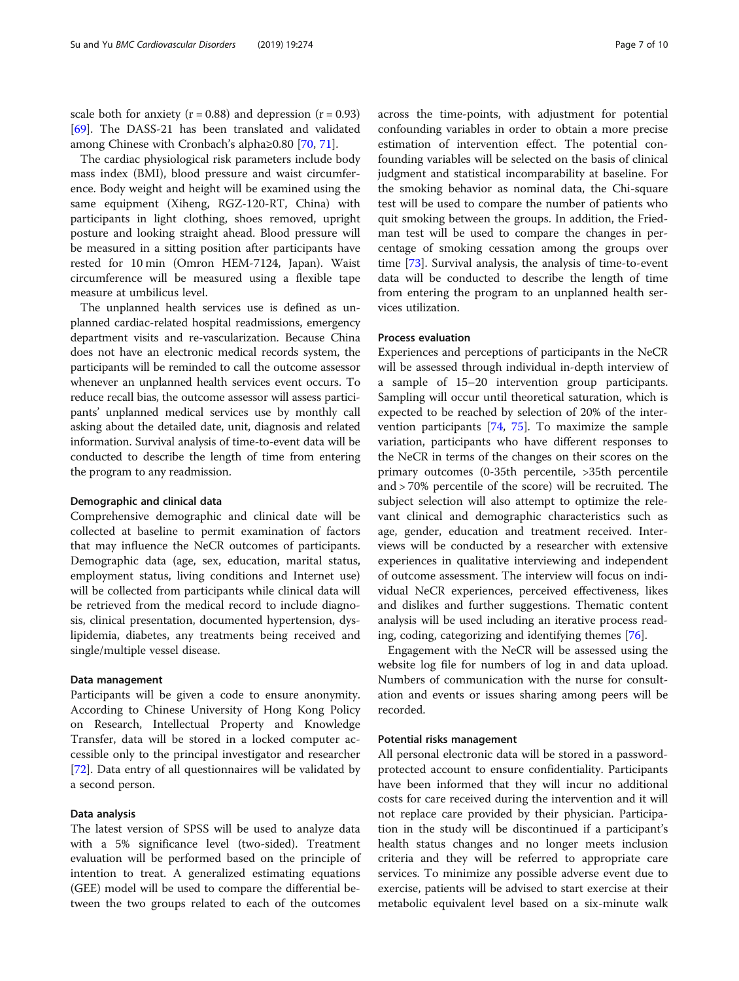scale both for anxiety ( $r = 0.88$ ) and depression ( $r = 0.93$ ) [[69\]](#page-9-0). The DASS-21 has been translated and validated among Chinese with Cronbach's alpha≥0.80 [[70,](#page-9-0) [71](#page-9-0)].

The cardiac physiological risk parameters include body mass index (BMI), blood pressure and waist circumference. Body weight and height will be examined using the same equipment (Xiheng, RGZ-120-RT, China) with participants in light clothing, shoes removed, upright posture and looking straight ahead. Blood pressure will be measured in a sitting position after participants have rested for 10 min (Omron HEM-7124, Japan). Waist circumference will be measured using a flexible tape measure at umbilicus level.

The unplanned health services use is defined as unplanned cardiac-related hospital readmissions, emergency department visits and re-vascularization. Because China does not have an electronic medical records system, the participants will be reminded to call the outcome assessor whenever an unplanned health services event occurs. To reduce recall bias, the outcome assessor will assess participants' unplanned medical services use by monthly call asking about the detailed date, unit, diagnosis and related information. Survival analysis of time-to-event data will be conducted to describe the length of time from entering the program to any readmission.

#### Demographic and clinical data

Comprehensive demographic and clinical date will be collected at baseline to permit examination of factors that may influence the NeCR outcomes of participants. Demographic data (age, sex, education, marital status, employment status, living conditions and Internet use) will be collected from participants while clinical data will be retrieved from the medical record to include diagnosis, clinical presentation, documented hypertension, dyslipidemia, diabetes, any treatments being received and single/multiple vessel disease.

#### Data management

Participants will be given a code to ensure anonymity. According to Chinese University of Hong Kong Policy on Research, Intellectual Property and Knowledge Transfer, data will be stored in a locked computer accessible only to the principal investigator and researcher [[72\]](#page-9-0). Data entry of all questionnaires will be validated by a second person.

### Data analysis

The latest version of SPSS will be used to analyze data with a 5% significance level (two-sided). Treatment evaluation will be performed based on the principle of intention to treat. A generalized estimating equations (GEE) model will be used to compare the differential between the two groups related to each of the outcomes across the time-points, with adjustment for potential confounding variables in order to obtain a more precise estimation of intervention effect. The potential confounding variables will be selected on the basis of clinical judgment and statistical incomparability at baseline. For the smoking behavior as nominal data, the Chi-square test will be used to compare the number of patients who quit smoking between the groups. In addition, the Friedman test will be used to compare the changes in percentage of smoking cessation among the groups over time [[73](#page-9-0)]. Survival analysis, the analysis of time-to-event data will be conducted to describe the length of time from entering the program to an unplanned health services utilization.

### Process evaluation

Experiences and perceptions of participants in the NeCR will be assessed through individual in-depth interview of a sample of 15–20 intervention group participants. Sampling will occur until theoretical saturation, which is expected to be reached by selection of 20% of the intervention participants [[74,](#page-9-0) [75](#page-9-0)]. To maximize the sample variation, participants who have different responses to the NeCR in terms of the changes on their scores on the primary outcomes (0-35th percentile, >35th percentile and > 70% percentile of the score) will be recruited. The subject selection will also attempt to optimize the relevant clinical and demographic characteristics such as age, gender, education and treatment received. Interviews will be conducted by a researcher with extensive experiences in qualitative interviewing and independent of outcome assessment. The interview will focus on individual NeCR experiences, perceived effectiveness, likes and dislikes and further suggestions. Thematic content analysis will be used including an iterative process reading, coding, categorizing and identifying themes [[76\]](#page-9-0).

Engagement with the NeCR will be assessed using the website log file for numbers of log in and data upload. Numbers of communication with the nurse for consultation and events or issues sharing among peers will be recorded.

#### Potential risks management

All personal electronic data will be stored in a passwordprotected account to ensure confidentiality. Participants have been informed that they will incur no additional costs for care received during the intervention and it will not replace care provided by their physician. Participation in the study will be discontinued if a participant's health status changes and no longer meets inclusion criteria and they will be referred to appropriate care services. To minimize any possible adverse event due to exercise, patients will be advised to start exercise at their metabolic equivalent level based on a six-minute walk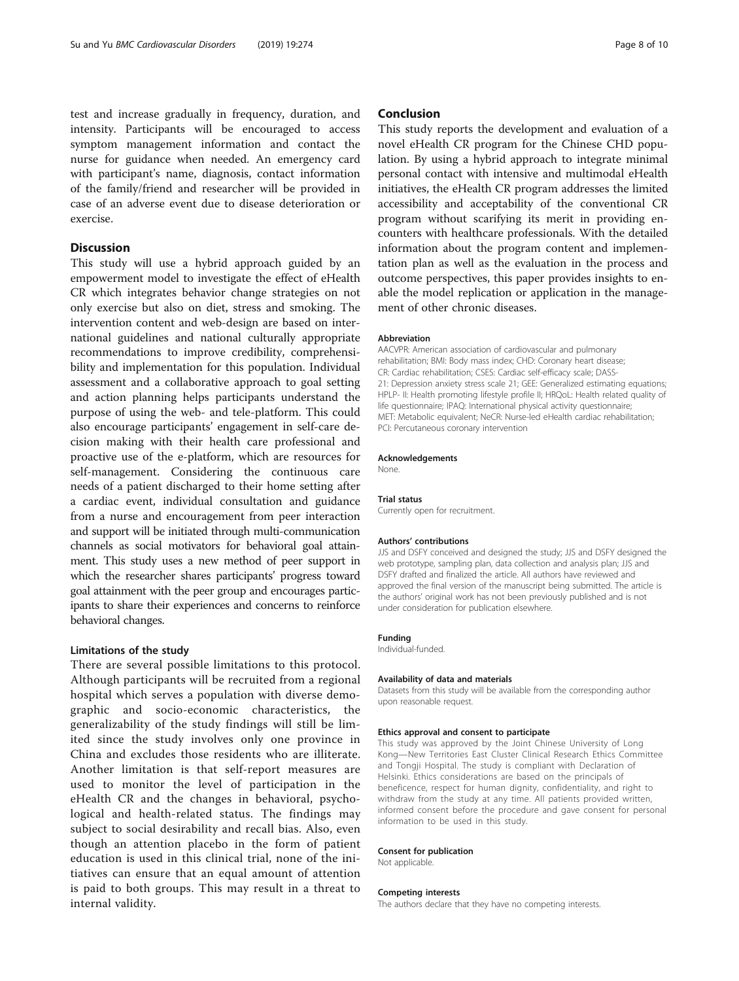test and increase gradually in frequency, duration, and intensity. Participants will be encouraged to access symptom management information and contact the nurse for guidance when needed. An emergency card with participant's name, diagnosis, contact information of the family/friend and researcher will be provided in case of an adverse event due to disease deterioration or exercise.

### **Discussion**

This study will use a hybrid approach guided by an empowerment model to investigate the effect of eHealth CR which integrates behavior change strategies on not only exercise but also on diet, stress and smoking. The intervention content and web-design are based on international guidelines and national culturally appropriate recommendations to improve credibility, comprehensibility and implementation for this population. Individual assessment and a collaborative approach to goal setting and action planning helps participants understand the purpose of using the web- and tele-platform. This could also encourage participants' engagement in self-care decision making with their health care professional and proactive use of the e-platform, which are resources for self-management. Considering the continuous care needs of a patient discharged to their home setting after a cardiac event, individual consultation and guidance from a nurse and encouragement from peer interaction and support will be initiated through multi-communication channels as social motivators for behavioral goal attainment. This study uses a new method of peer support in which the researcher shares participants' progress toward goal attainment with the peer group and encourages participants to share their experiences and concerns to reinforce behavioral changes.

#### Limitations of the study

There are several possible limitations to this protocol. Although participants will be recruited from a regional hospital which serves a population with diverse demographic and socio-economic characteristics, the generalizability of the study findings will still be limited since the study involves only one province in China and excludes those residents who are illiterate. Another limitation is that self-report measures are used to monitor the level of participation in the eHealth CR and the changes in behavioral, psychological and health-related status. The findings may subject to social desirability and recall bias. Also, even though an attention placebo in the form of patient education is used in this clinical trial, none of the initiatives can ensure that an equal amount of attention is paid to both groups. This may result in a threat to internal validity.

### Conclusion

This study reports the development and evaluation of a novel eHealth CR program for the Chinese CHD population. By using a hybrid approach to integrate minimal personal contact with intensive and multimodal eHealth initiatives, the eHealth CR program addresses the limited accessibility and acceptability of the conventional CR program without scarifying its merit in providing encounters with healthcare professionals. With the detailed information about the program content and implementation plan as well as the evaluation in the process and outcome perspectives, this paper provides insights to enable the model replication or application in the management of other chronic diseases.

#### Abbreviation

AACVPR: American association of cardiovascular and pulmonary rehabilitation; BMI: Body mass index; CHD: Coronary heart disease; CR: Cardiac rehabilitation; CSES: Cardiac self-efficacy scale; DASS-21: Depression anxiety stress scale 21; GEE: Generalized estimating equations; HPLP- II: Health promoting lifestyle profile II; HRQoL: Health related quality of life questionnaire; IPAQ: International physical activity questionnaire; MET: Metabolic equivalent; NeCR: Nurse-led eHealth cardiac rehabilitation; PCI: Percutaneous coronary intervention

#### Acknowledgements

None.

#### Trial status

Currently open for recruitment.

#### Authors' contributions

JJS and DSFY conceived and designed the study; JJS and DSFY designed the web prototype, sampling plan, data collection and analysis plan; JJS and DSFY drafted and finalized the article. All authors have reviewed and approved the final version of the manuscript being submitted. The article is the authors' original work has not been previously published and is not under consideration for publication elsewhere.

#### Funding

Individual-funded.

#### Availability of data and materials

Datasets from this study will be available from the corresponding author upon reasonable request.

#### Ethics approval and consent to participate

This study was approved by the Joint Chinese University of Long Kong—New Territories East Cluster Clinical Research Ethics Committee and Tongji Hospital. The study is compliant with Declaration of Helsinki. Ethics considerations are based on the principals of beneficence, respect for human dignity, confidentiality, and right to withdraw from the study at any time. All patients provided written, informed consent before the procedure and gave consent for personal information to be used in this study.

#### Consent for publication

Not applicable.

#### Competing interests

The authors declare that they have no competing interests.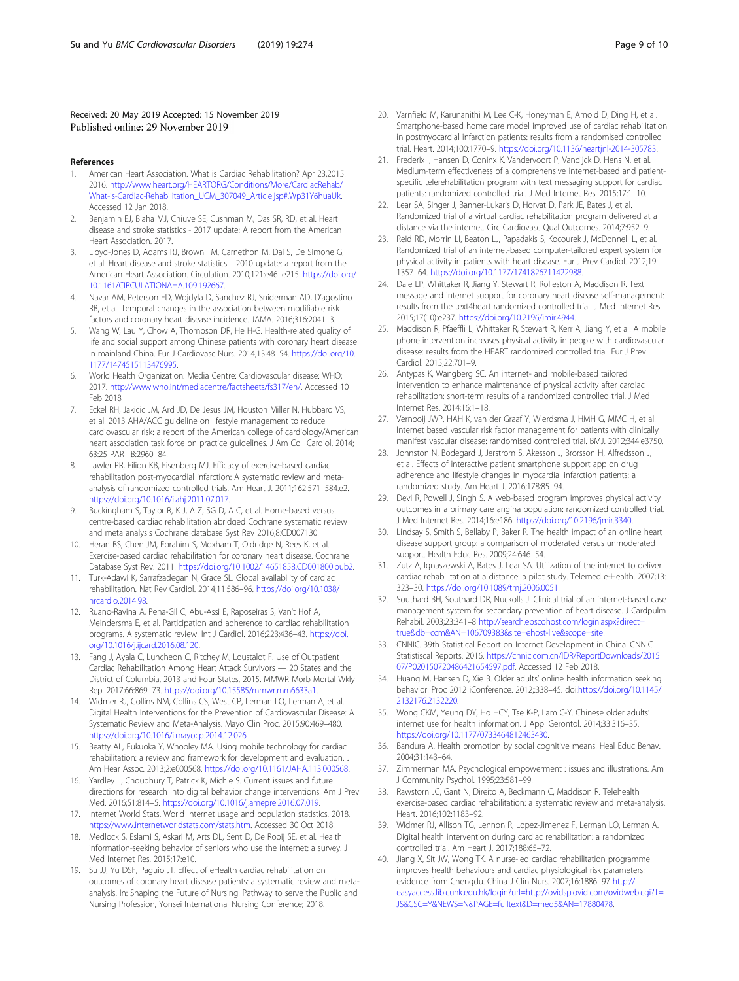<span id="page-8-0"></span>Received: 20 May 2019 Accepted: 15 November 2019 Published online: 29 November 2019

#### References

- 1. American Heart Association. What is Cardiac Rehabilitation? Apr 23,2015. 2016. [http://www.heart.org/HEARTORG/Conditions/More/CardiacRehab/](http://www.heart.org/HEARTORG/Conditions/More/CardiacRehab/What-is-Cardiac-Rehabilitation_UCM_307049_Article.jsp#.Wp31Y6huaUk) [What-is-Cardiac-Rehabilitation\\_UCM\\_307049\\_Article.jsp#.Wp31Y6huaUk.](http://www.heart.org/HEARTORG/Conditions/More/CardiacRehab/What-is-Cardiac-Rehabilitation_UCM_307049_Article.jsp#.Wp31Y6huaUk) Accessed 12 Jan 2018.
- 2. Benjamin EJ, Blaha MJ, Chiuve SE, Cushman M, Das SR, RD, et al. Heart disease and stroke statistics - 2017 update: A report from the American Heart Association. 2017.
- 3. Lloyd-Jones D, Adams RJ, Brown TM, Carnethon M, Dai S, De Simone G, et al. Heart disease and stroke statistics—2010 update: a report from the American Heart Association. Circulation. 2010;121:e46–e215. [https://doi.org/](https://doi.org/10.1161/CIRCULATIONAHA.109.192667) [10.1161/CIRCULATIONAHA.109.192667.](https://doi.org/10.1161/CIRCULATIONAHA.109.192667)
- 4. Navar AM, Peterson ED, Wojdyla D, Sanchez RJ, Sniderman AD, D'agostino RB, et al. Temporal changes in the association between modifiable risk factors and coronary heart disease incidence. JAMA. 2016;316:2041–3.
- Wang W, Lau Y, Chow A, Thompson DR, He H-G. Health-related quality of life and social support among Chinese patients with coronary heart disease in mainland China. Eur J Cardiovasc Nurs. 2014;13:48–54. [https://doi.org/10.](https://doi.org/10.1177/1474515113476995) [1177/1474515113476995](https://doi.org/10.1177/1474515113476995).
- 6. World Health Organization. Media Centre: Cardiovascular disease: WHO; 2017. [http://www.who.int/mediacentre/factsheets/fs317/en/.](http://www.who.int/mediacentre/factsheets/fs317/en/) Accessed 10 Feb 2018
- 7. Eckel RH, Jakicic JM, Ard JD, De Jesus JM, Houston Miller N, Hubbard VS, et al. 2013 AHA/ACC guideline on lifestyle management to reduce cardiovascular risk: a report of the American college of cardiology/American heart association task force on practice guidelines. J Am Coll Cardiol. 2014; 63:25 PART B:2960–84.
- Lawler PR, Filion KB, Eisenberg MJ. Efficacy of exercise-based cardiac rehabilitation post-myocardial infarction: A systematic review and metaanalysis of randomized controlled trials. Am Heart J. 2011;162:571–584.e2. <https://doi.org/10.1016/j.ahj.2011.07.017>.
- 9. Buckingham S, Taylor R, K J, A Z, SG D, A C, et al. Home-based versus centre-based cardiac rehabilitation abridged Cochrane systematic review and meta analysis Cochrane database Syst Rev 2016;8:CD007130.
- 10. Heran BS, Chen JM, Ebrahim S, Moxham T, Oldridge N, Rees K, et al. Exercise-based cardiac rehabilitation for coronary heart disease. Cochrane Database Syst Rev. 2011. [https://doi.org/10.1002/14651858.CD001800.pub2.](https://doi.org/10.1002/14651858.CD001800.pub2)
- 11. Turk-Adawi K, Sarrafzadegan N, Grace SL. Global availability of cardiac rehabilitation. Nat Rev Cardiol. 2014;11:586–96. [https://doi.org/10.1038/](https://doi.org/10.1038/nrcardio.2014.98) [nrcardio.2014.98.](https://doi.org/10.1038/nrcardio.2014.98)
- 12. Ruano-Ravina A, Pena-Gil C, Abu-Assi E, Raposeiras S, Van't Hof A, Meindersma E, et al. Participation and adherence to cardiac rehabilitation programs. A systematic review. Int J Cardiol. 2016;223:436–43. [https://doi.](https://doi.org/10.1016/j.ijcard.2016.08.120) [org/10.1016/j.ijcard.2016.08.120](https://doi.org/10.1016/j.ijcard.2016.08.120).
- 13. Fang J, Ayala C, Luncheon C, Ritchey M, Loustalot F. Use of Outpatient Cardiac Rehabilitation Among Heart Attack Survivors — 20 States and the District of Columbia, 2013 and Four States, 2015. MMWR Morb Mortal Wkly Rep. 2017;66:869–73. <https://doi.org/10.15585/mmwr.mm6633a1>.
- 14. Widmer RJ, Collins NM, Collins CS, West CP, Lerman LO, Lerman A, et al. Digital Health Interventions for the Prevention of Cardiovascular Disease: A Systematic Review and Meta-Analysis. Mayo Clin Proc. 2015;90:469–480. <https://doi.org/10.1016/j.mayocp.2014.12.026>
- 15. Beatty AL, Fukuoka Y, Whooley MA. Using mobile technology for cardiac rehabilitation: a review and framework for development and evaluation. J Am Hear Assoc. 2013;2:e000568. [https://doi.org/10.1161/JAHA.113.000568.](https://doi.org/10.1161/JAHA.113.000568)
- 16. Yardley L, Choudhury T, Patrick K, Michie S. Current issues and future directions for research into digital behavior change interventions. Am J Prev Med. 2016;51:814–5. <https://doi.org/10.1016/j.amepre.2016.07.019>.
- 17. Internet World Stats. World Internet usage and population statistics. 2018. <https://www.internetworldstats.com/stats.htm>. Accessed 30 Oct 2018.
- 18. Medlock S, Eslami S, Askari M, Arts DL, Sent D, De Rooij SE, et al. Health information-seeking behavior of seniors who use the internet: a survey. J Med Internet Res. 2015;17:e10.
- 19. Su JJ, Yu DSF, Paguio JT. Effect of eHealth cardiac rehabilitation on outcomes of coronary heart disease patients: a systematic review and metaanalysis. In: Shaping the Future of Nursing: Pathway to serve the Public and Nursing Profession, Yonsei International Nursing Conference; 2018.
- 20. Varnfield M, Karunanithi M, Lee C-K, Honeyman E, Arnold D, Ding H, et al. Smartphone-based home care model improved use of cardiac rehabilitation in postmyocardial infarction patients: results from a randomised controlled trial. Heart. 2014;100:1770–9. <https://doi.org/10.1136/heartjnl-2014-305783>.
- 21. Frederix I, Hansen D, Coninx K, Vandervoort P, Vandijck D, Hens N, et al. Medium-term effectiveness of a comprehensive internet-based and patientspecific telerehabilitation program with text messaging support for cardiac patients: randomized controlled trial. J Med Internet Res. 2015;17:1–10.
- 22. Lear SA, Singer J, Banner-Lukaris D, Horvat D, Park JE, Bates J, et al. Randomized trial of a virtual cardiac rehabilitation program delivered at a distance via the internet. Circ Cardiovasc Qual Outcomes. 2014;7:952–9.
- 23. Reid RD, Morrin LI, Beaton LJ, Papadakis S, Kocourek J, McDonnell L, et al. Randomized trial of an internet-based computer-tailored expert system for physical activity in patients with heart disease. Eur J Prev Cardiol. 2012;19: 1357–64. [https://doi.org/10.1177/1741826711422988.](https://doi.org/10.1177/1741826711422988)
- 24. Dale LP, Whittaker R, Jiang Y, Stewart R, Rolleston A, Maddison R. Text message and internet support for coronary heart disease self-management: results from the text4heart randomized controlled trial. J Med Internet Res. 2015;17(10):e237. [https://doi.org/10.2196/jmir.4944.](https://doi.org/10.2196/jmir.4944)
- 25. Maddison R, Pfaeffli L, Whittaker R, Stewart R, Kerr A, Jiang Y, et al. A mobile phone intervention increases physical activity in people with cardiovascular disease: results from the HEART randomized controlled trial. Eur J Prev Cardiol. 2015;22:701–9.
- 26. Antypas K, Wangberg SC. An internet- and mobile-based tailored intervention to enhance maintenance of physical activity after cardiac rehabilitation: short-term results of a randomized controlled trial. J Med Internet Res. 2014;16:1–18.
- 27. Vernooij JWP, HAH K, van der Graaf Y, Wierdsma J, HMH G, MMC H, et al. Internet based vascular risk factor management for patients with clinically manifest vascular disease: randomised controlled trial. BMJ. 2012;344:e3750.
- 28. Johnston N, Bodegard J, Jerstrom S, Akesson J, Brorsson H, Alfredsson J, et al. Effects of interactive patient smartphone support app on drug adherence and lifestyle changes in myocardial infarction patients: a randomized study. Am Heart J. 2016;178:85–94.
- 29. Devi R, Powell J, Singh S, A web-based program improves physical activity outcomes in a primary care angina population: randomized controlled trial. J Med Internet Res. 2014;16:e186. <https://doi.org/10.2196/jmir.3340>.
- 30. Lindsay S, Smith S, Bellaby P, Baker R. The health impact of an online heart disease support group: a comparison of moderated versus unmoderated support. Health Educ Res. 2009;24:646–54.
- 31. Zutz A, Ignaszewski A, Bates J, Lear SA. Utilization of the internet to deliver cardiac rehabilitation at a distance: a pilot study. Telemed e-Health. 2007;13: 323–30. [https://doi.org/10.1089/tmj.2006.0051.](https://doi.org/10.1089/tmj.2006.0051)
- 32. Southard BH, Southard DR, Nuckolls J. Clinical trial of an internet-based case management system for secondary prevention of heart disease. J Cardpulm Rehabil. 2003;23:341–8 [http://search.ebscohost.com/login.aspx?direct=](http://search.ebscohost.com/login.aspx?direct=true&db=ccm&AN=106709383&site=ehost-live&scope=site) [true&db=ccm&AN=106709383&site=ehost-live&scope=site](http://search.ebscohost.com/login.aspx?direct=true&db=ccm&AN=106709383&site=ehost-live&scope=site).
- 33. CNNIC. 39th Statistical Report on Internet Development in China. CNNIC Statistiscal Reports. 2016. [https://cnnic.com.cn/IDR/ReportDownloads/2015](https://cnnic.com.cn/IDR/ReportDownloads/201507/P020150720486421654597.pdf) [07/P020150720486421654597.pdf.](https://cnnic.com.cn/IDR/ReportDownloads/201507/P020150720486421654597.pdf) Accessed 12 Feb 2018.
- 34. Huang M, Hansen D, Xie B. Older adults' online health information seeking behavior. Proc 2012 iConference. 2012;:338–45. doi:[https://doi.org/10.1145/](https://doi.org/10.1145/2132176.2132220) [2132176.2132220.](https://doi.org/10.1145/2132176.2132220)
- 35. Wong CKM, Yeung DY, Ho HCY, Tse K-P, Lam C-Y. Chinese older adults' internet use for health information. J Appl Gerontol. 2014;33:316–35. [https://doi.org/10.1177/0733464812463430.](https://doi.org/10.1177/0733464812463430)
- 36. Bandura A. Health promotion by social cognitive means. Heal Educ Behav. 2004;31:143–64.
- 37. Zimmerman MA. Psychological empowerment : issues and illustrations. Am J Community Psychol. 1995;23:581–99.
- 38. Rawstorn JC, Gant N, Direito A, Beckmann C, Maddison R. Telehealth exercise-based cardiac rehabilitation: a systematic review and meta-analysis. Heart. 2016;102:1183–92.
- 39. Widmer RJ, Allison TG, Lennon R, Lopez-Jimenez F, Lerman LO, Lerman A. Digital health intervention during cardiac rehabilitation: a randomized controlled trial. Am Heart J. 2017;188:65–72.
- 40. Jiang X, Sit JW, Wong TK. A nurse-led cardiac rehabilitation programme improves health behaviours and cardiac physiological risk parameters: evidence from Chengdu. China J Clin Nurs. 2007;16:1886–97 [http://](http://easyaccess.lib.cuhk.edu.hk/login?url=http://ovidsp.ovid.com/ovidweb.cgi?T=JS&CSC=Y&NEWS=N&PAGE=fulltext&D=med5&AN=17880478) [easyaccess.lib.cuhk.edu.hk/login?url=http://ovidsp.ovid.com/ovidweb.cgi?T=](http://easyaccess.lib.cuhk.edu.hk/login?url=http://ovidsp.ovid.com/ovidweb.cgi?T=JS&CSC=Y&NEWS=N&PAGE=fulltext&D=med5&AN=17880478) [JS&CSC=Y&NEWS=N&PAGE=fulltext&D=med5&AN=17880478](http://easyaccess.lib.cuhk.edu.hk/login?url=http://ovidsp.ovid.com/ovidweb.cgi?T=JS&CSC=Y&NEWS=N&PAGE=fulltext&D=med5&AN=17880478).